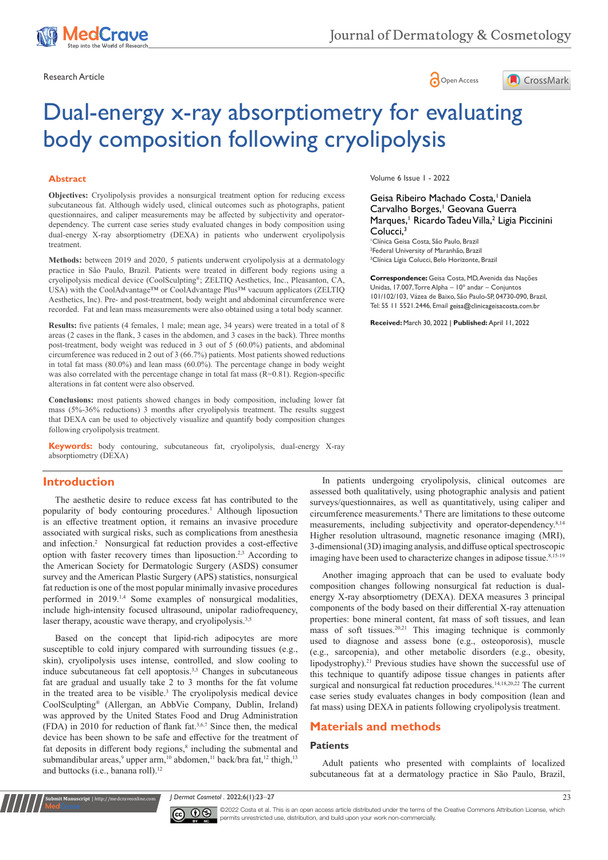

Research Article **Contracts** Contracts and Contracts Contracts Contracts Contracts Contracts Contracts Contracts Contracts Contracts Contracts Contracts Contracts Contracts Contracts Contracts Contracts Contracts Contracts





# Dual-energy x-ray absorptiometry for evaluating body composition following cryolipolysis

## **Abstract**

**Objectives:** Cryolipolysis provides a nonsurgical treatment option for reducing excess subcutaneous fat. Although widely used, clinical outcomes such as photographs, patient questionnaires, and caliper measurements may be affected by subjectivity and operatordependency. The current case series study evaluated changes in body composition using dual-energy X-ray absorptiometry (DEXA) in patients who underwent cryolipolysis treatment.

**Methods:** between 2019 and 2020, 5 patients underwent cryolipolysis at a dermatology practice in São Paulo, Brazil. Patients were treated in different body regions using a cryolipolysis medical device (CoolSculpting®; ZELTIQ Aesthetics, Inc., Pleasanton, CA, USA) with the CoolAdvantage™ or CoolAdvantage Plus™ vacuum applicators (ZELTIQ Aesthetics, Inc). Pre- and post-treatment, body weight and abdominal circumference were recorded. Fat and lean mass measurements were also obtained using a total body scanner.

**Results:** five patients (4 females, 1 male; mean age, 34 years) were treated in a total of 8 areas (2 cases in the flank, 3 cases in the abdomen, and 3 cases in the back). Three months post-treatment, body weight was reduced in 3 out of 5 (60.0%) patients, and abdominal circumference was reduced in 2 out of 3 (66.7%) patients. Most patients showed reductions in total fat mass (80.0%) and lean mass (60.0%). The percentage change in body weight was also correlated with the percentage change in total fat mass (R=0.81). Region-specific alterations in fat content were also observed.

**Conclusions:** most patients showed changes in body composition, including lower fat mass (5%-36% reductions) 3 months after cryolipolysis treatment. The results suggest that DEXA can be used to objectively visualize and quantify body composition changes following cryolipolysis treatment.

**Keywords:** body contouring, subcutaneous fat, cryolipolysis, dual-energy X-ray absorptiometry (DEXA)

## **Introduction**

The aesthetic desire to reduce excess fat has contributed to the popularity of body contouring procedures.<sup>1</sup> Although liposuction is an effective treatment option, it remains an invasive procedure associated with surgical risks, such as complications from anesthesia and infection.2 Nonsurgical fat reduction provides a cost-effective option with faster recovery times than liposuction.2,3 According to the American Society for Dermatologic Surgery (ASDS) consumer survey and the American Plastic Surgery (APS) statistics, nonsurgical fat reduction is one of the most popular minimally invasive procedures performed in 2019.<sup>1,4</sup> Some examples of nonsurgical modalities, include high-intensity focused ultrasound, unipolar radiofrequency, laser therapy, acoustic wave therapy, and cryolipolysis.<sup>3,5</sup>

Based on the concept that lipid-rich adipocytes are more susceptible to cold injury compared with surrounding tissues (e.g., skin), cryolipolysis uses intense, controlled, and slow cooling to induce subcutaneous fat cell apoptosis.<sup>3,5</sup> Changes in subcutaneous fat are gradual and usually take 2 to 3 months for the fat volume in the treated area to be visible.<sup>3</sup> The cryolipolysis medical device CoolSculpting® (Allergan, an AbbVie Company, Dublin, Ireland) was approved by the United States Food and Drug Administration (FDA) in 2010 for reduction of flank fat.3,6,7 Since then, the medical device has been shown to be safe and effective for the treatment of fat deposits in different body regions,<sup>8</sup> including the submental and submandibular areas,<sup>9</sup> upper arm,<sup>10</sup> abdomen,<sup>11</sup> back/bra fat,<sup>12</sup> thigh,<sup>13</sup> and buttocks (i.e., banana roll).<sup>12</sup>

**it Manuscript** | http://medcraveonline.c

Volume 6 Issue 1 - 2022

Geisa Ribeiro Machado Costa.<sup>1</sup> Daniela Carvalho Borges,<sup>1</sup> Geovana Guerra Marques,<sup>1</sup> Ricardo Tadeu Villa,<sup>2</sup> Ligia Piccinini Colucci.<sup>3</sup>

1 Clínica Geisa Costa, São Paulo, Brazil 2 Federal University of Maranhão, Brazil <sup>3</sup> Clínica Lígia Colucci, Belo Horizonte, Brazil

**Correspondence:** Geisa Costa, MD, Avenida das Nações Unidas, 17.007, Torre Alpha – 10º andar – Conjuntos 101/102/103, Vázea de Baixo, São Paulo-SP, 04730-090, Brazil, Tel: 55 11 5521.2446, Email geisa@clinicageisacosta.com.br

**Received:** March 30, 2022 | **Published:** April 11, 2022

In patients undergoing cryolipolysis, clinical outcomes are assessed both qualitatively, using photographic analysis and patient surveys/questionnaires, as well as quantitatively, using caliper and circumference measurements.<sup>8</sup> There are limitations to these outcome measurements, including subjectivity and operator-dependency.8,14 Higher resolution ultrasound, magnetic resonance imaging (MRI), 3-dimensional (3D) imaging analysis, and diffuse optical spectroscopic imaging have been used to characterize changes in adipose tissue.<sup>8,15-19</sup>

Another imaging approach that can be used to evaluate body composition changes following nonsurgical fat reduction is dualenergy X-ray absorptiometry (DEXA). DEXA measures 3 principal components of the body based on their differential X-ray attenuation properties: bone mineral content, fat mass of soft tissues, and lean mass of soft tissues.<sup>20,21</sup> This imaging technique is commonly used to diagnose and assess bone (e.g., osteoporosis), muscle (e.g., sarcopenia), and other metabolic disorders (e.g., obesity, lipodystrophy).<sup>21</sup> Previous studies have shown the successful use of this technique to quantify adipose tissue changes in patients after surgical and nonsurgical fat reduction procedures.<sup>14,18,20,22</sup> The current case series study evaluates changes in body composition (lean and fat mass) using DEXA in patients following cryolipolysis treatment.

# **Materials and methods**

### **Patients**

Adult patients who presented with complaints of localized subcutaneous fat at a dermatology practice in São Paulo, Brazil,

*J Dermat Cosmetol .* 2022;6(1):23‒27 23



©2022 Costa et al. This is an open access article distributed under the terms of the Creative Commons Attribution License, which permits unrestricted use, distribution, and build upon your work non-commercially.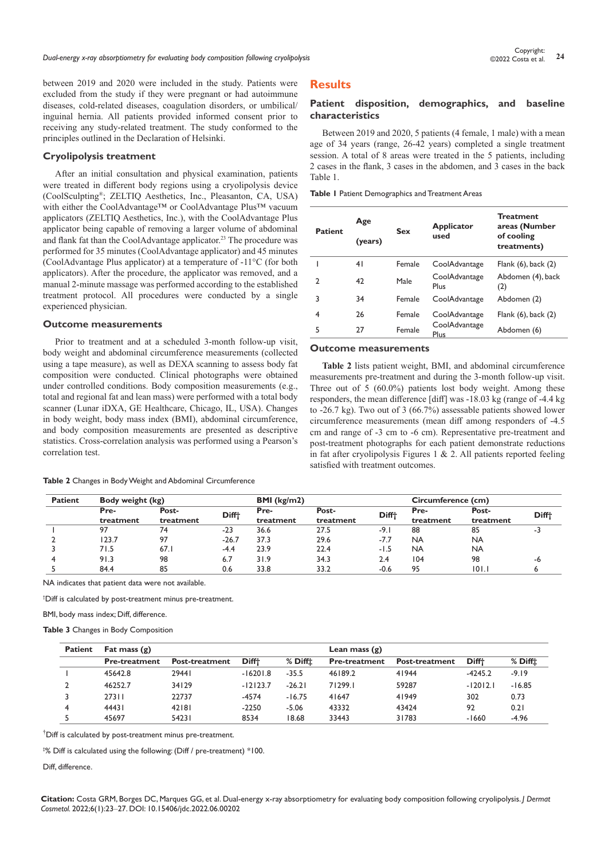between 2019 and 2020 were included in the study. Patients were excluded from the study if they were pregnant or had autoimmune diseases, cold-related diseases, coagulation disorders, or umbilical/ inguinal hernia. All patients provided informed consent prior to receiving any study-related treatment. The study conformed to the principles outlined in the Declaration of Helsinki.

#### **Cryolipolysis treatment**

After an initial consultation and physical examination, patients were treated in different body regions using a cryolipolysis device (CoolSculpting®; ZELTIQ Aesthetics, Inc., Pleasanton, CA, USA) with either the CoolAdvantage™ or CoolAdvantage Plus™ vacuum applicators (ZELTIQ Aesthetics, Inc.), with the CoolAdvantage Plus applicator being capable of removing a larger volume of abdominal and flank fat than the CoolAdvantage applicator.<sup>23</sup> The procedure was performed for 35 minutes (CoolAdvantage applicator) and 45 minutes (CoolAdvantage Plus applicator) at a temperature of -11°C (for both applicators). After the procedure, the applicator was removed, and a manual 2-minute massage was performed according to the established treatment protocol. All procedures were conducted by a single experienced physician.

## **Outcome measurements**

Prior to treatment and at a scheduled 3-month follow-up visit, body weight and abdominal circumference measurements (collected using a tape measure), as well as DEXA scanning to assess body fat composition were conducted. Clinical photographs were obtained under controlled conditions. Body composition measurements (e.g., total and regional fat and lean mass) were performed with a total body scanner (Lunar iDXA, GE Healthcare, Chicago, IL, USA). Changes in body weight, body mass index (BMI), abdominal circumference, and body composition measurements are presented as descriptive statistics. Cross-correlation analysis was performed using a Pearson's correlation test.

#### **Table 2** Changes in Body Weight and Abdominal Circumference

# **Results**

## **Patient disposition, demographics, and baseline characteristics**

Between 2019 and 2020, 5 patients (4 female, 1 male) with a mean age of 34 years (range, 26-42 years) completed a single treatment session. A total of 8 areas were treated in the 5 patients, including 2 cases in the flank, 3 cases in the abdomen, and 3 cases in the back Table 1.

**Table 1** Patient Demographics and Treatment Areas

| <b>Patient</b> | Age<br><b>Sex</b><br>(years) |        | <b>Applicator</b><br>used    | <b>Treatment</b><br>areas (Number<br>of cooling<br>treatments) |  |  |
|----------------|------------------------------|--------|------------------------------|----------------------------------------------------------------|--|--|
|                | 41                           | Female | CoolAdvantage                | Flank $(6)$ , back $(2)$                                       |  |  |
| 2              | 42                           | Male   | CoolAdvantage<br>Plus        | Abdomen (4), back<br>(2)                                       |  |  |
| 3              | 34                           | Female | CoolAdvantage                | Abdomen (2)                                                    |  |  |
| 4              | 26                           | Female | CoolAdvantage                | Flank $(6)$ , back $(2)$                                       |  |  |
| 5              | 27                           | Female | CoolAdvantage<br><b>Plus</b> | Abdomen (6)                                                    |  |  |

#### **Outcome measurements**

**Table 2** lists patient weight, BMI, and abdominal circumference measurements pre-treatment and during the 3-month follow-up visit. Three out of  $\overline{5}$  (60.0%) patients lost body weight. Among these responders, the mean difference [diff] was -18.03 kg (range of -4.4 kg to -26.7 kg). Two out of 3 (66.7%) assessable patients showed lower circumference measurements (mean diff among responders of -4.5 cm and range of -3 cm to -6 cm). Representative pre-treatment and post-treatment photographs for each patient demonstrate reductions in fat after cryolipolysis Figures 1 & 2. All patients reported feeling satisfied with treatment outcomes.

| <b>Patient</b> | Body weight (kg) |           |              | BMI (kg/m2) |           |                   | Circumference (cm) |           |                   |
|----------------|------------------|-----------|--------------|-------------|-----------|-------------------|--------------------|-----------|-------------------|
|                | Pre-             | Post-     | <b>Difft</b> | Pre-        | Post-     | Diff <sup>+</sup> | Pre-               | Post-     | Diff <sup>+</sup> |
|                | treatment        | treatment |              | treatment   | treatment |                   | treatment          | treatment |                   |
|                | 97               | 74        | $-23$        | 36.6        | 27.5      | $-9.1$            | 88                 | 85        | -5                |
|                | 123.7            | 97        | $-26.7$      | 37.3        | 29.6      | $-7.7$            | NA                 | <b>NA</b> |                   |
|                | 71.5             | 67.1      | $-4.4$       | 23.9        | 22.4      | -1.5              | <b>NA</b>          | <b>NA</b> |                   |
|                | 91.3             | 98        | 6.7          | 31.9        | 34.3      | 2.4               | 104                | 98        | -6                |
|                | 84.4             | 85        | 0.6          | 33.8        | 33.2      | $-0.6$            | 95                 | 101.1     |                   |
|                |                  |           |              |             |           |                   |                    |           |                   |

NA indicates that patient data were not available.

† Diff is calculated by post-treatment minus pre-treatment.

BMI, body mass index; Diff, difference.

**Table 3** Changes in Body Composition

| <b>Patient</b> | Fat mass $(g)$       |                       |                   |                     | Lean mass $(g)$      |                       |                   |                     |
|----------------|----------------------|-----------------------|-------------------|---------------------|----------------------|-----------------------|-------------------|---------------------|
|                | <b>Pre-treatment</b> | <b>Post-treatment</b> | Diff <sup>+</sup> | $%$ Diff $\ddagger$ | <b>Pre-treatment</b> | <b>Post-treatment</b> | Diff <sup>+</sup> | $%$ Diff $\ddagger$ |
|                | 45642.8              | 29441                 | $-16201.8$        | $-35.5$             | 46189.2              | 41944                 | $-4245.2$         | $-9.19$             |
|                | 46252.7              | 34129                 | $-12123.7$        | $-26.21$            | 71299.1              | 59287                 | $-12012.1$        | $-16.85$            |
|                | 27311                | 22737                 | $-4574$           | $-16.75$            | 41647                | 41949                 | 302               | 0.73                |
|                | 44431                | 42181                 | $-2250$           | $-5.06$             | 43332                | 43424                 | 92                | 0.21                |
|                | 45697                | 54231                 | 8534              | 18.68               | 33443                | 31783                 | $-1660$           | $-4.96$             |

† Diff is calculated by post-treatment minus pre-treatment.

‡ % Diff is calculated using the following: (Diff / pre-treatment) \*100.

#### Diff difference

**Citation:** Costa GRM, Borges DC, Marques GG, et al. Dual-energy x-ray absorptiometry for evaluating body composition following cryolipolysis. *J Dermat Cosmetol.* 2022;6(1):23‒27. DOI: [10.15406/jdc.2022.06.00202](https://doi.org/10.15406/jdc.2022.06.00202)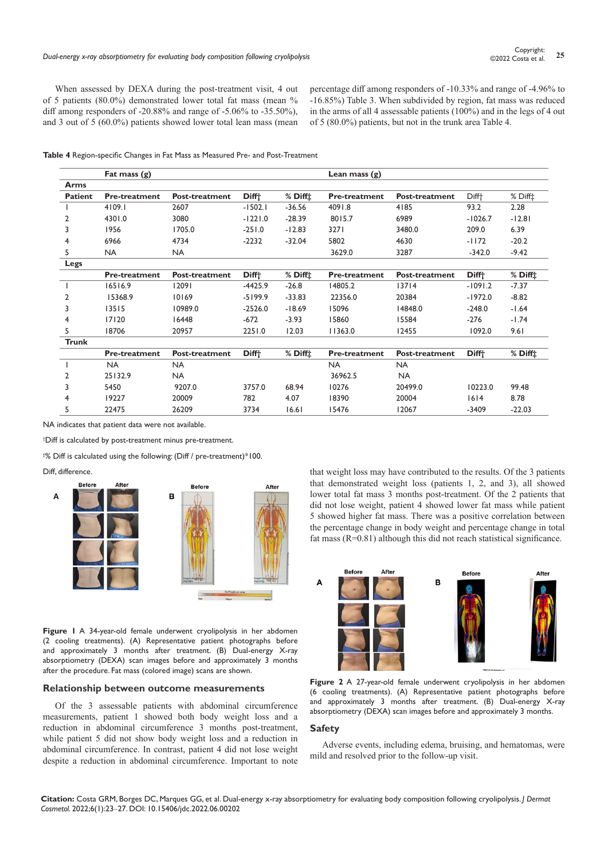When assessed by DEXA during the post-treatment visit, 4 out of 5 patients (80.0%) demonstrated lower total fat mass (mean % diff among responders of -20.88% and range of -5.06% to -35.50%), and 3 out of 5 (60.0%) patients showed lower total lean mass (mean percentage diff among responders of -10.33% and range of -4.96% to -16.85%) Table 3. When subdivided by region, fat mass was reduced in the arms of all 4 assessable patients (100%) and in the legs of 4 out of 5 (80.0%) patients, but not in the trunk area Table 4.

|                | Fat mass $(g)$       |                       |                   |              | Lean mass $(g)$      |                       |                   |                     |
|----------------|----------------------|-----------------------|-------------------|--------------|----------------------|-----------------------|-------------------|---------------------|
| Arms           |                      |                       |                   |              |                      |                       |                   |                     |
| <b>Patient</b> | <b>Pre-treatment</b> | Post-treatment        | Diff <sup>+</sup> | $%$ Diff $1$ | <b>Pre-treatment</b> | <b>Post-treatment</b> | Diff <sup>+</sup> | $%$ Diff $\ddagger$ |
|                | 4109.1               | 2607                  | $-1502.1$         | $-36.56$     | 4091.8               | 4185                  | 93.2              | 2.28                |
| 2              | 4301.0               | 3080                  | $-1221.0$         | $-28.39$     | 8015.7               | 6989                  | $-1026.7$         | $-12.81$            |
| 3              | 1956                 | 1705.0                | $-251.0$          | $-12.83$     | 3271                 | 3480.0                | 209.0             | 6.39                |
| 4              | 6966                 | 4734                  | $-2232$           | $-32.04$     | 5802                 | 4630                  | $-1172$           | $-20.2$             |
| 5              | <b>NA</b>            | <b>NA</b>             |                   |              | 3629.0               | 3287                  | $-342.0$          | $-9.42$             |
| Legs           |                      |                       |                   |              |                      |                       |                   |                     |
|                | <b>Pre-treatment</b> | Post-treatment        | Diff <sup>+</sup> | $%$ Diff $1$ | <b>Pre-treatment</b> | <b>Post-treatment</b> | Diff <sup>+</sup> | $%$ Diff $\ddagger$ |
|                | 16516.9              | 12091                 | $-4425.9$         | $-26.8$      | 14805.2              | 13714                 | $-1091.2$         | $-7.37$             |
| 2              | 15368.9              | 10169                 | $-5199.9$         | $-33.83$     | 22356.0              | 20384                 | $-1972.0$         | $-8.82$             |
| 3              | 13515                | 10989.0               | $-2526.0$         | $-18.69$     | 15096                | 14848.0               | $-248.0$          | $-1.64$             |
| 4              | 17120                | 16448                 | $-672$            | $-3.93$      | 15860                | 15584                 | $-276$            | $-1.74$             |
| 5              | 18706                | 20957                 | 2251.0            | 12.03        | 11363.0              | 12455                 | 1092.0            | 9.61                |
| <b>Trunk</b>   |                      |                       |                   |              |                      |                       |                   |                     |
|                | <b>Pre-treatment</b> | <b>Post-treatment</b> | Diff <sup>+</sup> | $%$ Diff $1$ | <b>Pre-treatment</b> | <b>Post-treatment</b> | Diff <sup>+</sup> | $%$ Diff $\ddagger$ |
|                | <b>NA</b>            | <b>NA</b>             |                   |              | <b>NA</b>            | <b>NA</b>             |                   |                     |
| 2              | 25132.9              | <b>NA</b>             |                   |              | 36962.5              | <b>NA</b>             |                   |                     |
| 3              | 5450                 | 9207.0                | 3757.0            | 68.94        | 10276                | 20499.0               | 10223.0           | 99.48               |
| 4              | 19227                | 20009                 | 782               | 4.07         | 18390                | 20004                 | 1614              | 8.78                |
| 5              | 22475                | 26209                 | 3734              | 16.61        | 15476                | 12067                 | $-3409$           | $-22.03$            |

NA indicates that patient data were not available.

† Diff is calculated by post-treatment minus pre-treatment.

‡ % Diff is calculated using the following: (Diff / pre-treatment)\*100.

Diff, difference.



**Figure 1** A 34-year-old female underwent cryolipolysis in her abdomen (2 cooling treatments). (A) Representative patient photographs before and approximately 3 months after treatment. (B) Dual-energy X-ray absorptiometry (DEXA) scan images before and approximately 3 months after the procedure. Fat mass (colored image) scans are shown.

### **Relationship between outcome measurements**

Of the 3 assessable patients with abdominal circumference measurements, patient 1 showed both body weight loss and a reduction in abdominal circumference 3 months post-treatment, while patient 5 did not show body weight loss and a reduction in abdominal circumference. In contrast, patient 4 did not lose weight despite a reduction in abdominal circumference. Important to note that weight loss may have contributed to the results. Of the 3 patients that demonstrated weight loss (patients 1, 2, and 3), all showed lower total fat mass 3 months post-treatment. Of the 2 patients that did not lose weight, patient 4 showed lower fat mass while patient 5 showed higher fat mass. There was a positive correlation between the percentage change in body weight and percentage change in total fat mass  $(R=0.81)$  although this did not reach statistical significance.



**Figure 2** A 27-year-old female underwent cryolipolysis in her abdomen (6 cooling treatments). (A) Representative patient photographs before and approximately 3 months after treatment. (B) Dual-energy X-ray absorptiometry (DEXA) scan images before and approximately 3 months.

## **Safety**

Adverse events, including edema, bruising, and hematomas, were mild and resolved prior to the follow-up visit.

**Citation:** Costa GRM, Borges DC, Marques GG, et al. Dual-energy x-ray absorptiometry for evaluating body composition following cryolipolysis. *J Dermat Cosmetol.* 2022;6(1):23‒27. DOI: [10.15406/jdc.2022.06.00202](https://doi.org/10.15406/jdc.2022.06.00202)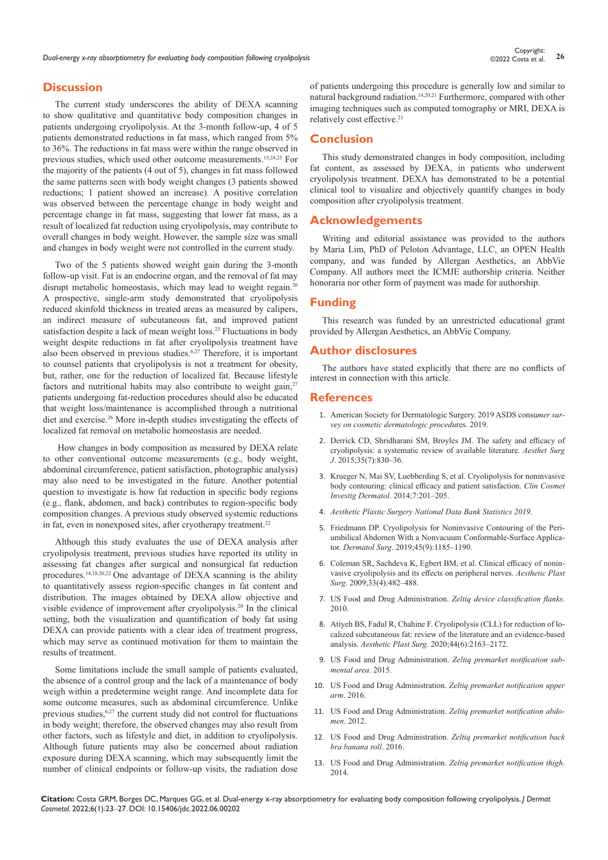*Dual-energy x-ray absorptiometry for evaluating body composition following cryolipolysis* **<sup>26</sup>** Copyright:

# **Discussion**

The current study underscores the ability of DEXA scanning to show qualitative and quantitative body composition changes in patients undergoing cryolipolysis. At the 3-month follow-up, 4 of 5 patients demonstrated reductions in fat mass, which ranged from 5% to 36%. The reductions in fat mass were within the range observed in previous studies, which used other outcome measurements.15,24,25 For the majority of the patients (4 out of 5), changes in fat mass followed the same patterns seen with body weight changes (3 patients showed reductions; 1 patient showed an increase). A positive correlation was observed between the percentage change in body weight and percentage change in fat mass, suggesting that lower fat mass, as a result of localized fat reduction using cryolipolysis, may contribute to overall changes in body weight. However, the sample size was small and changes in body weight were not controlled in the current study.

Two of the 5 patients showed weight gain during the 3-month follow-up visit. Fat is an endocrine organ, and the removal of fat may disrupt metabolic homeostasis, which may lead to weight regain.<sup>26</sup> A prospective, single-arm study demonstrated that cryolipolysis reduced skinfold thickness in treated areas as measured by calipers, an indirect measure of subcutaneous fat, and improved patient satisfaction despite a lack of mean weight loss.<sup>23</sup> Fluctuations in body weight despite reductions in fat after cryolipolysis treatment have also been observed in previous studies.6,27 Therefore, it is important to counsel patients that cryolipolysis is not a treatment for obesity, but, rather, one for the reduction of localized fat. Because lifestyle factors and nutritional habits may also contribute to weight gain, $27$ patients undergoing fat-reduction procedures should also be educated that weight loss/maintenance is accomplished through a nutritional diet and exercise.<sup>26</sup> More in-depth studies investigating the effects of localized fat removal on metabolic homeostasis are needed.

 How changes in body composition as measured by DEXA relate to other conventional outcome measurements (e.g., body weight, abdominal circumference, patient satisfaction, photographic analysis) may also need to be investigated in the future. Another potential question to investigate is how fat reduction in specific body regions (e.g., flank, abdomen, and back) contributes to region-specific body composition changes. A previous study observed systemic reductions in fat, even in nonexposed sites, after cryotherapy treatment.<sup>22</sup>

Although this study evaluates the use of DEXA analysis after cryolipolysis treatment, previous studies have reported its utility in assessing fat changes after surgical and nonsurgical fat reduction procedures.14,18,20,22 One advantage of DEXA scanning is the ability to quantitatively assess region-specific changes in fat content and distribution. The images obtained by DEXA allow objective and visible evidence of improvement after cryolipolysis.20 In the clinical setting, both the visualization and quantification of body fat using DEXA can provide patients with a clear idea of treatment progress, which may serve as continued motivation for them to maintain the results of treatment.

Some limitations include the small sample of patients evaluated, the absence of a control group and the lack of a maintenance of body weigh within a predetermine weight range. And incomplete data for some outcome measures, such as abdominal circumference. Unlike previous studies,<sup>6,27</sup> the current study did not control for fluctuations in body weight; therefore, the observed changes may also result from other factors, such as lifestyle and diet, in addition to cryolipolysis. Although future patients may also be concerned about radiation exposure during DEXA scanning, which may subsequently limit the number of clinical endpoints or follow-up visits, the radiation dose

of patients undergoing this procedure is generally low and similar to natural background radiation.14,20,21 Furthermore, compared with other imaging techniques such as computed tomography or MRI, DEXA is relatively cost effective.<sup>21</sup>

# **Conclusion**

This study demonstrated changes in body composition, including fat content, as assessed by DEXA, in patients who underwent cryolipolysis treatment. DEXA has demonstrated to be a potential clinical tool to visualize and objectively quantify changes in body composition after cryolipolysis treatment.

# **Acknowledgements**

Writing and editorial assistance was provided to the authors by Maria Lim, PhD of Peloton Advantage, LLC, an OPEN Health company, and was funded by Allergan Aesthetics, an AbbVie Company. All authors meet the ICMJE authorship criteria. Neither honoraria nor other form of payment was made for authorship.

# **Funding**

This research was funded by an unrestricted educational grant provided by Allergan Aesthetics, an AbbVie Company.

## **Author disclosures**

The authors have stated explicitly that there are no conflicts of interest in connection with this article.

## **References**

- 1. [American Society for Dermatologic Surgery. 2019 ASDS consu](https://www.asds.net/medical-professionals/practice-resources/asds-consumer-survey-on-cosmetic-dermatologic-procedures)*mer sur[vey on cosmetic dermatologic procedu](https://www.asds.net/medical-professionals/practice-resources/asds-consumer-survey-on-cosmetic-dermatologic-procedures)*res. 2019.
- 2. [Derrick CD, Shridharani SM, Broyles JM. The safety and efficacy of](https://pubmed.ncbi.nlm.nih.gov/26038367/)  [cryolipolysis: a systematic review of available literature.](https://pubmed.ncbi.nlm.nih.gov/26038367/) *Aesthet Surg J*[. 2015;35\(7\):830–36.](https://pubmed.ncbi.nlm.nih.gov/26038367/)
- 3. [Krueger N, Mai SV, Luebberding S, et al. Cryolipolysis for noninvasive](https://pubmed.ncbi.nlm.nih.gov/25061326/)  [body contouring: clinical efficacy and patient satisfaction.](https://pubmed.ncbi.nlm.nih.gov/25061326/) *Clin Cosmet Investig Dermatol*[. 2014;7:201–205.](https://pubmed.ncbi.nlm.nih.gov/25061326/)
- 4. *[Aesthetic Plastic Surgery National Data Bank Statistics 2019](https://www.surgery.org/sites/default/files/Aesthetic-Society_Stats2019Book_FINAL.pdf.)*.
- 5. [Friedmann DP. Cryolipolysis for Noninvasive Contouring of the Peri](https://pubmed.ncbi.nlm.nih.gov/30672856/)[umbilical Abdomen With a Nonvacuum Conformable-Surface Applica](https://pubmed.ncbi.nlm.nih.gov/30672856/)tor. *Dermatol Surg*[. 2019;45\(9\):1185–1190.](https://pubmed.ncbi.nlm.nih.gov/30672856/)
- 6. [Coleman SR, Sachdeva K, Egbert BM, et al. Clinical efficacy of nonin](https://pubmed.ncbi.nlm.nih.gov/19296153/)[vasive cryolipolysis and its effects on peripheral nerves.](https://pubmed.ncbi.nlm.nih.gov/19296153/) *Aesthetic Plast Surg*[. 2009;33\(4\):482–488.](https://pubmed.ncbi.nlm.nih.gov/19296153/)
- 7. [US Food and Drug Administration.](https://www.accessdata.fda.gov/scripts/cdrh/cfdocs/cfpmn/denovo.cfm?ID=DEN090002) *Zeltiq device classification flanks*. [2010.](https://www.accessdata.fda.gov/scripts/cdrh/cfdocs/cfpmn/denovo.cfm?ID=DEN090002)
- 8. [Atiyeh BS, Fadul R, Chahine F. Cryolipolysis \(CLL\) for reduction of lo](https://pubmed.ncbi.nlm.nih.gov/32696167/)[calized subcutaneous fat: review of the literature and an evidence-based](https://pubmed.ncbi.nlm.nih.gov/32696167/)  analysis. *Aesthetic Plast Surg*[. 2020;44\(6\):2163–2172.](https://pubmed.ncbi.nlm.nih.gov/32696167/)
- 9. [US Food and Drug Administration.](https://www.accessdata.fda.gov/scripts/cdrh/cfdocs/cfpmn/pmn.cfm?ID=K151179) *Zeltiq premarket notification sub[mental area](https://www.accessdata.fda.gov/scripts/cdrh/cfdocs/cfpmn/pmn.cfm?ID=K151179)*. 2015.
- 10. [US Food and Drug Administration.](https://www.accessdata.fda.gov/scripts/cdrh/cfdocs/cfpmn/pmn.cfm?ID=K162050) *Zeltiq premarket notification upper arm*[. 2016.](https://www.accessdata.fda.gov/scripts/cdrh/cfdocs/cfpmn/pmn.cfm?ID=K162050)
- 11. [US Food and Drug Administration.](https://www.accessdata.fda.gov/scripts/cdrh/cfdocs/cfpmn/pmn.cfm?ID=K120023) *Zeltiq premarket notification abdomen*[. 2012.](https://www.accessdata.fda.gov/scripts/cdrh/cfdocs/cfpmn/pmn.cfm?ID=K120023)
- 12. [US Food and Drug Administration.](https://www.accessdata.fda.gov/scripts/cdrh/cfdocs/cfpmn/pmn.cfm?ID=K160259) *Zeltiq premarket notification back [bra banana roll](https://www.accessdata.fda.gov/scripts/cdrh/cfdocs/cfpmn/pmn.cfm?ID=K160259)*. 2016.
- 13. [US Food and Drug Administration.](https://www.accessdata.fda.gov/scripts/cdrh/cfdocs/cfpmn/pmn.cfm?ID=K133212) *Zeltiq premarket notification thigh*. [2014.](https://www.accessdata.fda.gov/scripts/cdrh/cfdocs/cfpmn/pmn.cfm?ID=K133212)